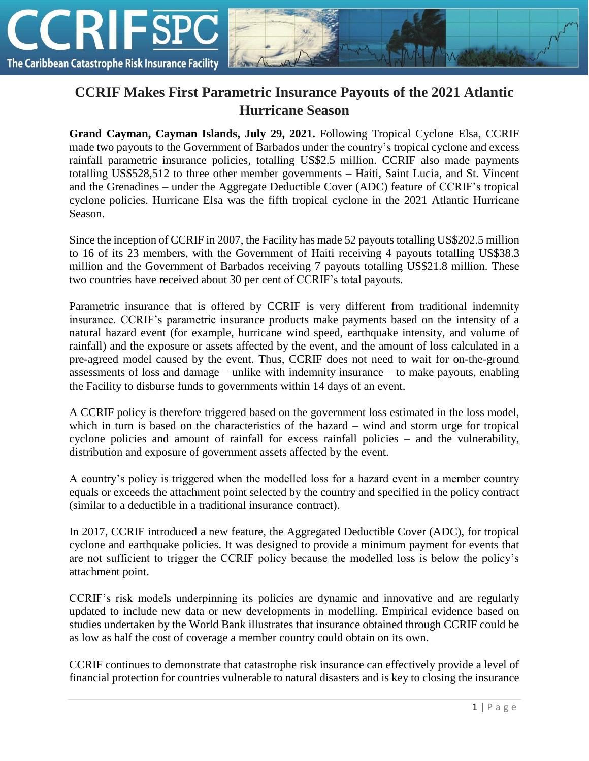

## **CCRIF Makes First Parametric Insurance Payouts of the 2021 Atlantic Hurricane Season**

**Grand Cayman, Cayman Islands, July 29, 2021.** Following Tropical Cyclone Elsa, CCRIF made two payouts to the Government of Barbados under the country's tropical cyclone and excess rainfall parametric insurance policies, totalling US\$2.5 million. CCRIF also made payments totalling US\$528,512 to three other member governments – Haiti, Saint Lucia, and St. Vincent and the Grenadines – under the Aggregate Deductible Cover (ADC) feature of CCRIF's tropical cyclone policies. Hurricane Elsa was the fifth tropical cyclone in the 2021 Atlantic Hurricane Season.

Since the inception of CCRIF in 2007, the Facility has made 52 payouts totalling US\$202.5 million to 16 of its 23 members, with the Government of Haiti receiving 4 payouts totalling US\$38.3 million and the Government of Barbados receiving 7 payouts totalling US\$21.8 million. These two countries have received about 30 per cent of CCRIF's total payouts.

Parametric insurance that is offered by CCRIF is very different from traditional indemnity insurance. CCRIF's parametric insurance products make payments based on the intensity of a natural hazard event (for example, hurricane wind speed, earthquake intensity, and volume of rainfall) and the exposure or assets affected by the event, and the amount of loss calculated in a pre-agreed model caused by the event. Thus, CCRIF does not need to wait for on-the-ground assessments of loss and damage – unlike with indemnity insurance – to make payouts, enabling the Facility to disburse funds to governments within 14 days of an event.

A CCRIF policy is therefore triggered based on the government loss estimated in the loss model, which in turn is based on the characteristics of the hazard – wind and storm urge for tropical cyclone policies and amount of rainfall for excess rainfall policies – and the vulnerability, distribution and exposure of government assets affected by the event.

A country's policy is triggered when the modelled loss for a hazard event in a member country equals or exceeds the attachment point selected by the country and specified in the policy contract (similar to a deductible in a traditional insurance contract).

In 2017, CCRIF introduced a new feature, the Aggregated Deductible Cover (ADC), for tropical cyclone and earthquake policies. It was designed to provide a minimum payment for events that are not sufficient to trigger the CCRIF policy because the modelled loss is below the policy's attachment point.

CCRIF's risk models underpinning its policies are dynamic and innovative and are regularly updated to include new data or new developments in modelling. Empirical evidence based on studies undertaken by the World Bank illustrates that insurance obtained through CCRIF could be as low as half the cost of coverage a member country could obtain on its own.

CCRIF continues to demonstrate that catastrophe risk insurance can effectively provide a level of financial protection for countries vulnerable to natural disasters and is key to closing the insurance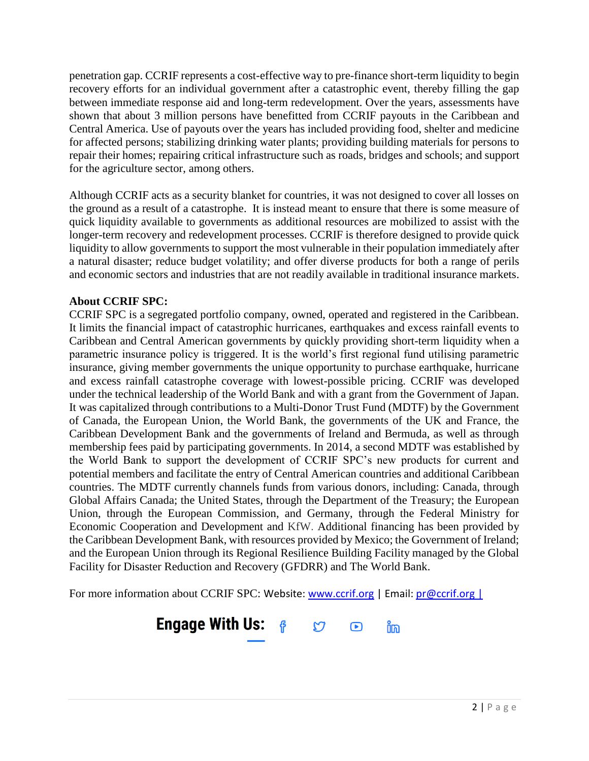penetration gap. CCRIF represents a cost-effective way to pre-finance short-term liquidity to begin recovery efforts for an individual government after a catastrophic event, thereby filling the gap between immediate response aid and long-term redevelopment. Over the years, assessments have shown that about 3 million persons have benefitted from CCRIF payouts in the Caribbean and Central America. Use of payouts over the years has included providing food, shelter and medicine for affected persons; stabilizing drinking water plants; providing building materials for persons to repair their homes; repairing critical infrastructure such as roads, bridges and schools; and support for the agriculture sector, among others.

Although CCRIF acts as a security blanket for countries, it was not designed to cover all losses on the ground as a result of a catastrophe. It is instead meant to ensure that there is some measure of quick liquidity available to governments as additional resources are mobilized to assist with the longer-term recovery and redevelopment processes. CCRIF is therefore designed to provide quick liquidity to allow governments to support the most vulnerable in their population immediately after a natural disaster; reduce budget volatility; and offer diverse products for both a range of perils and economic sectors and industries that are not readily available in traditional insurance markets.

## **About CCRIF SPC:**

CCRIF SPC is a segregated portfolio company, owned, operated and registered in the Caribbean. It limits the financial impact of catastrophic hurricanes, earthquakes and excess rainfall events to Caribbean and Central American governments by quickly providing short-term liquidity when a parametric insurance policy is triggered. It is the world's first regional fund utilising parametric insurance, giving member governments the unique opportunity to purchase earthquake, hurricane and excess rainfall catastrophe coverage with lowest-possible pricing. CCRIF was developed under the technical leadership of the World Bank and with a grant from the Government of Japan. It was capitalized through contributions to a Multi-Donor Trust Fund (MDTF) by the Government of Canada, the European Union, the World Bank, the governments of the UK and France, the Caribbean Development Bank and the governments of Ireland and Bermuda, as well as through membership fees paid by participating governments. In 2014, a second MDTF was established by the World Bank to support the development of CCRIF SPC's new products for current and potential members and facilitate the entry of Central American countries and additional Caribbean countries. The MDTF currently channels funds from various donors, including: Canada, through Global Affairs Canada; the United States, through the Department of the Treasury; the European Union, through the European Commission, and Germany, through the Federal Ministry for Economic Cooperation and Development and KfW. Additional financing has been provided by the Caribbean Development Bank, with resources provided by Mexico; the Government of Ireland; and the European Union through its Regional Resilience Building Facility managed by the Global Facility for Disaster Reduction and Recovery (GFDRR) and The World Bank.

For more information about CCRIF SPC: Website: [www.ccrif.org](http://www.ccrif.org/) | Email:  $\frac{p}{\omega}$ ccrif.org |

## **Engage With Us:**  $\theta$  $\mathfrak{C}$ ິທິ  $\bigodot$